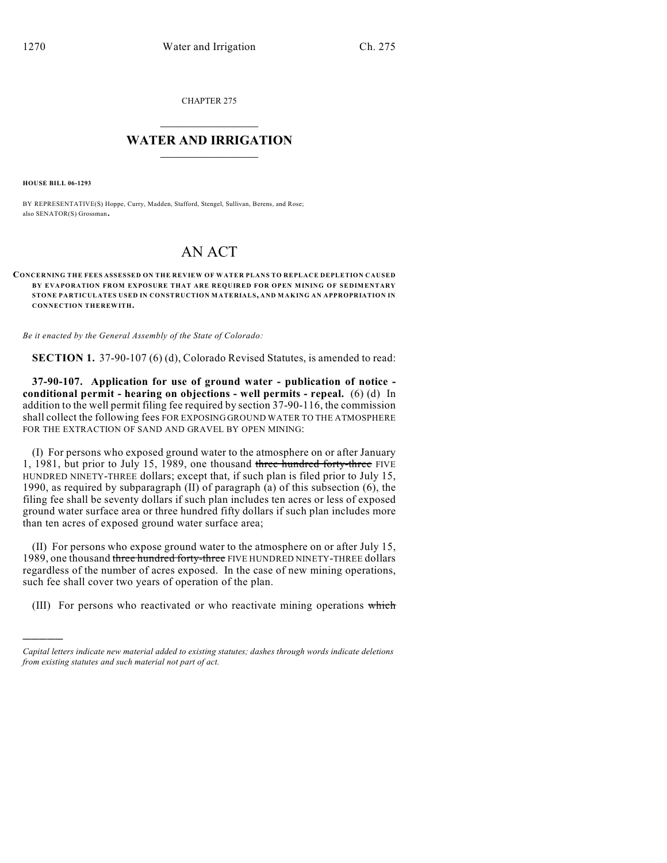CHAPTER 275

## $\mathcal{L}_\text{max}$  . The set of the set of the set of the set of the set of the set of the set of the set of the set of the set of the set of the set of the set of the set of the set of the set of the set of the set of the set **WATER AND IRRIGATION**  $\_$   $\_$

**HOUSE BILL 06-1293**

)))))

BY REPRESENTATIVE(S) Hoppe, Curry, Madden, Stafford, Stengel, Sullivan, Berens, and Rose; also SENATOR(S) Grossman.

## AN ACT

**CONCERNING THE FEES ASSESSED ON THE REVIEW OF WATER PLANS TO REPLACE DEPLETION CAUSED BY EVAPORATION FROM EXPOSURE THAT ARE REQUIRED FOR OPEN MINING OF SEDIMENTARY STONE PARTICULATES USED IN CONSTRUCTION MATERIALS, AND MAKING AN APPROPRIATION IN CONNECTION THEREWITH.**

*Be it enacted by the General Assembly of the State of Colorado:*

**SECTION 1.** 37-90-107 (6) (d), Colorado Revised Statutes, is amended to read:

**37-90-107. Application for use of ground water - publication of notice conditional permit - hearing on objections - well permits - repeal.** (6) (d) In addition to the well permit filing fee required by section 37-90-116, the commission shall collect the following fees FOR EXPOSING GROUND WATER TO THE ATMOSPHERE FOR THE EXTRACTION OF SAND AND GRAVEL BY OPEN MINING:

(I) For persons who exposed ground water to the atmosphere on or after January 1, 1981, but prior to July 15, 1989, one thousand three hundred forty-three FIVE HUNDRED NINETY-THREE dollars; except that, if such plan is filed prior to July 15, 1990, as required by subparagraph (II) of paragraph (a) of this subsection (6), the filing fee shall be seventy dollars if such plan includes ten acres or less of exposed ground water surface area or three hundred fifty dollars if such plan includes more than ten acres of exposed ground water surface area;

(II) For persons who expose ground water to the atmosphere on or after July 15, 1989, one thousand three hundred forty-three FIVE HUNDRED NINETY-THREE dollars regardless of the number of acres exposed. In the case of new mining operations, such fee shall cover two years of operation of the plan.

(III) For persons who reactivated or who reactivate mining operations which

*Capital letters indicate new material added to existing statutes; dashes through words indicate deletions from existing statutes and such material not part of act.*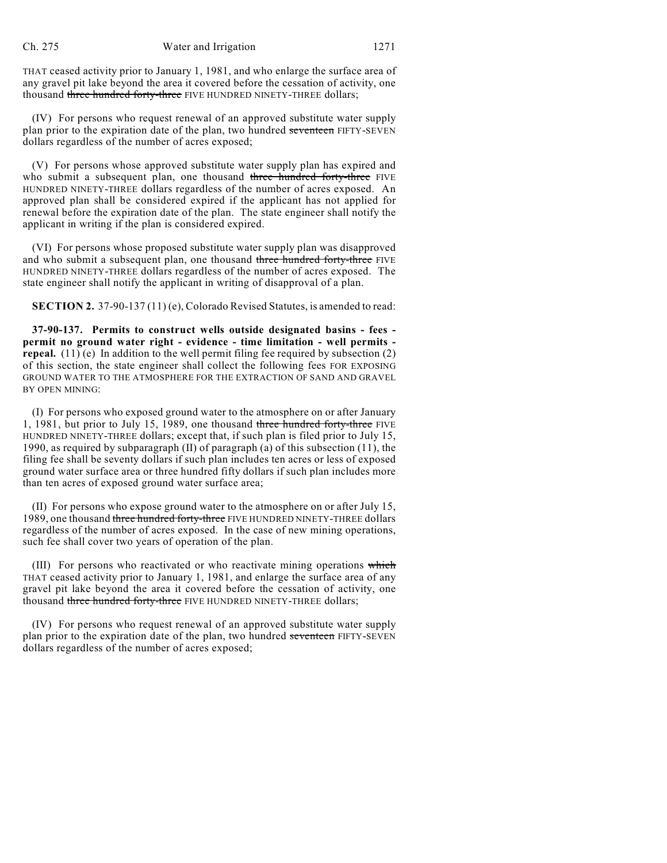THAT ceased activity prior to January 1, 1981, and who enlarge the surface area of any gravel pit lake beyond the area it covered before the cessation of activity, one thousand three hundred forty-three FIVE HUNDRED NINETY-THREE dollars;

(IV) For persons who request renewal of an approved substitute water supply plan prior to the expiration date of the plan, two hundred seventeen FIFTY-SEVEN dollars regardless of the number of acres exposed;

(V) For persons whose approved substitute water supply plan has expired and who submit a subsequent plan, one thousand three hundred forty-three FIVE HUNDRED NINETY-THREE dollars regardless of the number of acres exposed. An approved plan shall be considered expired if the applicant has not applied for renewal before the expiration date of the plan. The state engineer shall notify the applicant in writing if the plan is considered expired.

(VI) For persons whose proposed substitute water supply plan was disapproved and who submit a subsequent plan, one thousand three hundred forty-three FIVE HUNDRED NINETY-THREE dollars regardless of the number of acres exposed. The state engineer shall notify the applicant in writing of disapproval of a plan.

**SECTION 2.** 37-90-137 (11) (e), Colorado Revised Statutes, is amended to read:

**37-90-137. Permits to construct wells outside designated basins - fees permit no ground water right - evidence - time limitation - well permits repeal.** (11) (e) In addition to the well permit filing fee required by subsection (2) of this section, the state engineer shall collect the following fees FOR EXPOSING GROUND WATER TO THE ATMOSPHERE FOR THE EXTRACTION OF SAND AND GRAVEL BY OPEN MINING:

(I) For persons who exposed ground water to the atmosphere on or after January 1, 1981, but prior to July 15, 1989, one thousand three hundred forty-three FIVE HUNDRED NINETY-THREE dollars; except that, if such plan is filed prior to July 15, 1990, as required by subparagraph (II) of paragraph (a) of this subsection (11), the filing fee shall be seventy dollars if such plan includes ten acres or less of exposed ground water surface area or three hundred fifty dollars if such plan includes more than ten acres of exposed ground water surface area;

(II) For persons who expose ground water to the atmosphere on or after July 15, 1989, one thousand three hundred forty-three FIVE HUNDRED NINETY-THREE dollars regardless of the number of acres exposed. In the case of new mining operations, such fee shall cover two years of operation of the plan.

(III) For persons who reactivated or who reactivate mining operations which THAT ceased activity prior to January 1, 1981, and enlarge the surface area of any gravel pit lake beyond the area it covered before the cessation of activity, one thousand three hundred forty-three FIVE HUNDRED NINETY-THREE dollars;

(IV) For persons who request renewal of an approved substitute water supply plan prior to the expiration date of the plan, two hundred seventeen FIFTY-SEVEN dollars regardless of the number of acres exposed;